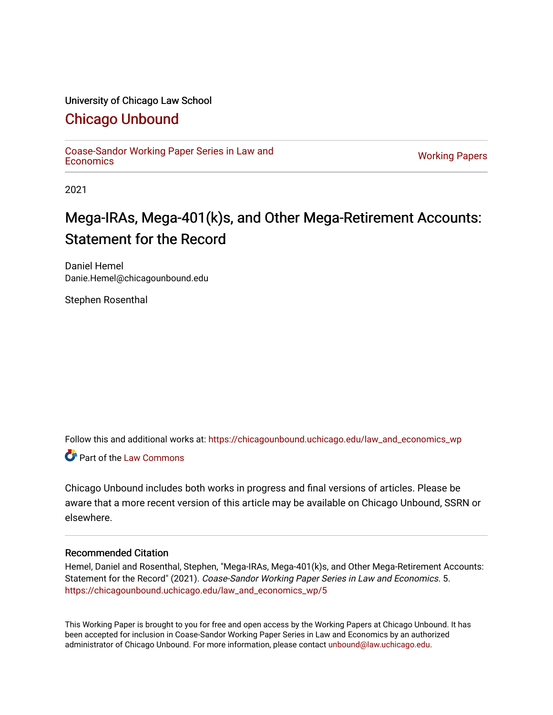#### University of Chicago Law School

# [Chicago Unbound](https://chicagounbound.uchicago.edu/)

[Coase-Sandor Working Paper Series in Law and](https://chicagounbound.uchicago.edu/law_and_economics_wp) [Economics](https://chicagounbound.uchicago.edu/law_and_economics_wp) [Working Papers](https://chicagounbound.uchicago.edu/working_papers) 

2021

# Mega-IRAs, Mega-401(k)s, and Other Mega-Retirement Accounts: Statement for the Record

Daniel Hemel Danie.Hemel@chicagounbound.edu

Stephen Rosenthal

Follow this and additional works at: [https://chicagounbound.uchicago.edu/law\\_and\\_economics\\_wp](https://chicagounbound.uchicago.edu/law_and_economics_wp?utm_source=chicagounbound.uchicago.edu%2Flaw_and_economics_wp%2F5&utm_medium=PDF&utm_campaign=PDFCoverPages) 

**C** Part of the [Law Commons](http://network.bepress.com/hgg/discipline/578?utm_source=chicagounbound.uchicago.edu%2Flaw_and_economics_wp%2F5&utm_medium=PDF&utm_campaign=PDFCoverPages)

Chicago Unbound includes both works in progress and final versions of articles. Please be aware that a more recent version of this article may be available on Chicago Unbound, SSRN or elsewhere.

#### Recommended Citation

Hemel, Daniel and Rosenthal, Stephen, "Mega-IRAs, Mega-401(k)s, and Other Mega-Retirement Accounts: Statement for the Record" (2021). Coase-Sandor Working Paper Series in Law and Economics. 5. [https://chicagounbound.uchicago.edu/law\\_and\\_economics\\_wp/5](https://chicagounbound.uchicago.edu/law_and_economics_wp/5?utm_source=chicagounbound.uchicago.edu%2Flaw_and_economics_wp%2F5&utm_medium=PDF&utm_campaign=PDFCoverPages)

This Working Paper is brought to you for free and open access by the Working Papers at Chicago Unbound. It has been accepted for inclusion in Coase-Sandor Working Paper Series in Law and Economics by an authorized administrator of Chicago Unbound. For more information, please contact [unbound@law.uchicago.edu](mailto:unbound@law.uchicago.edu).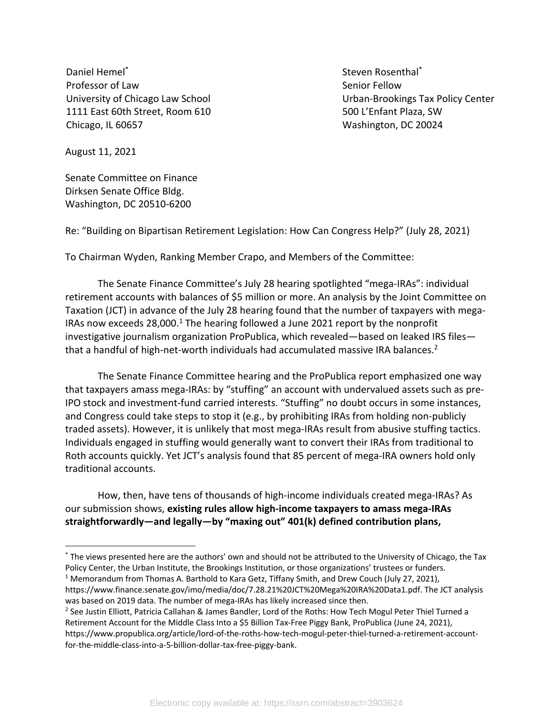Daniel Hemel\* Professor of Law University of Chicago Law School 1111 East 60th Street, Room 610 Chicago, IL 60657

Steven Rosenthal\* Senior Fellow Urban-Brookings Tax Policy Center 500 L'Enfant Plaza, SW Washington, DC 20024

August 11, 2021

Senate Committee on Finance Dirksen Senate Office Bldg. Washington, DC 20510-6200

Re: "Building on Bipartisan Retirement Legislation: How Can Congress Help?" (July 28, 2021)

To Chairman Wyden, Ranking Member Crapo, and Members of the Committee:

The Senate Finance Committee's July 28 hearing spotlighted "mega-IRAs": individual retirement accounts with balances of \$5 million or more. An analysis by the Joint Committee on Taxation (JCT) in advance of the July 28 hearing found that the number of taxpayers with mega-IRAs now exceeds  $28,000$ .<sup>1</sup> The hearing followed a June 2021 report by the nonprofit investigative journalism organization ProPublica, which revealed—based on leaked IRS files that a handful of high-net-worth individuals had accumulated massive IRA balances.<sup>2</sup>

The Senate Finance Committee hearing and the ProPublica report emphasized one way that taxpayers amass mega-IRAs: by "stuffing" an account with undervalued assets such as pre-IPO stock and investment-fund carried interests. "Stuffing" no doubt occurs in some instances, and Congress could take steps to stop it (e.g., by prohibiting IRAs from holding non-publicly traded assets). However, it is unlikely that most mega-IRAs result from abusive stuffing tactics. Individuals engaged in stuffing would generally want to convert their IRAs from traditional to Roth accounts quickly. Yet JCT's analysis found that 85 percent of mega-IRA owners hold only traditional accounts.

How, then, have tens of thousands of high-income individuals created mega-IRAs? As our submission shows, **existing rules allow high-income taxpayers to amass mega-IRAs straightforwardly—and legally—by "maxing out" 401(k) defined contribution plans,** 

https://www.finance.senate.gov/imo/media/doc/7.28.21%20JCT%20Mega%20IRA%20Data1.pdf. The JCT analysis was based on 2019 data. The number of mega-IRAs has likely increased since then.

<sup>\*</sup> The views presented here are the authors' own and should not be attributed to the University of Chicago, the Tax Policy Center, the Urban Institute, the Brookings Institution, or those organizations' trustees or funders. <sup>1</sup> Memorandum from Thomas A. Barthold to Kara Getz, Tiffany Smith, and Drew Couch (July 27, 2021),

<sup>&</sup>lt;sup>2</sup> See Justin Elliott, Patricia Callahan & James Bandler, Lord of the Roths: How Tech Mogul Peter Thiel Turned a Retirement Account for the Middle Class Into a \$5 Billion Tax-Free Piggy Bank, ProPublica (June 24, 2021), https://www.propublica.org/article/lord-of-the-roths-how-tech-mogul-peter-thiel-turned-a-retirement-accountfor-the-middle-class-into-a-5-billion-dollar-tax-free-piggy-bank.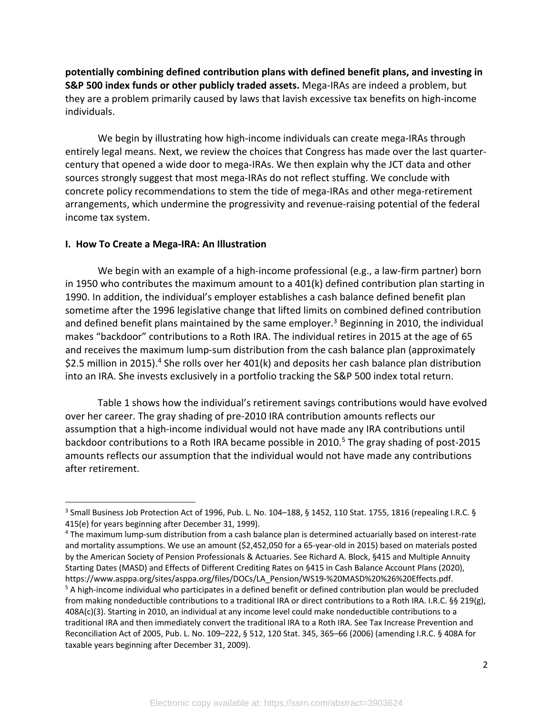**potentially combining defined contribution plans with defined benefit plans, and investing in S&P 500 index funds or other publicly traded assets.** Mega-IRAs are indeed a problem, but they are a problem primarily caused by laws that lavish excessive tax benefits on high-income individuals.

We begin by illustrating how high-income individuals can create mega-IRAs through entirely legal means. Next, we review the choices that Congress has made over the last quartercentury that opened a wide door to mega-IRAs. We then explain why the JCT data and other sources strongly suggest that most mega-IRAs do not reflect stuffing. We conclude with concrete policy recommendations to stem the tide of mega-IRAs and other mega-retirement arrangements, which undermine the progressivity and revenue-raising potential of the federal income tax system.

#### **I. How To Create a Mega-IRA: An Illustration**

We begin with an example of a high-income professional (e.g., a law-firm partner) born in 1950 who contributes the maximum amount to a 401(k) defined contribution plan starting in 1990. In addition, the individual's employer establishes a cash balance defined benefit plan sometime after the 1996 legislative change that lifted limits on combined defined contribution and defined benefit plans maintained by the same employer.<sup>3</sup> Beginning in 2010, the individual makes "backdoor" contributions to a Roth IRA. The individual retires in 2015 at the age of 65 and receives the maximum lump-sum distribution from the cash balance plan (approximately \$2.5 million in 2015).<sup>4</sup> She rolls over her 401(k) and deposits her cash balance plan distribution into an IRA. She invests exclusively in a portfolio tracking the S&P 500 index total return.

Table 1 shows how the individual's retirement savings contributions would have evolved over her career. The gray shading of pre-2010 IRA contribution amounts reflects our assumption that a high-income individual would not have made any IRA contributions until backdoor contributions to a Roth IRA became possible in 2010. <sup>5</sup> The gray shading of post-2015 amounts reflects our assumption that the individual would not have made any contributions after retirement.

<sup>3</sup> Small Business Job Protection Act of 1996, Pub. L. No. 104–188, § 1452, 110 Stat. 1755, 1816 (repealing I.R.C. § 415(e) for years beginning after December 31, 1999).

<sup>4</sup> The maximum lump-sum distribution from a cash balance plan is determined actuarially based on interest-rate and mortality assumptions. We use an amount (\$2,452,050 for a 65-year-old in 2015) based on materials posted by the American Society of Pension Professionals & Actuaries. See Richard A. Block, §415 and Multiple Annuity Starting Dates (MASD) and Effects of Different Crediting Rates on §415 in Cash Balance Account Plans (2020), https://www.asppa.org/sites/asppa.org/files/DOCs/LA\_Pension/WS19-%20MASD%20%26%20Effects.pdf.<br><sup>5</sup> A high-income individual who participates in a defined benefit or defined contribution plan would be precluded from making nondeductible contributions to a traditional IRA or direct contributions to a Roth IRA. I.R.C. §§ 219(g), 408A(c)(3). Starting in 2010, an individual at any income level could make nondeductible contributions to a traditional IRA and then immediately convert the traditional IRA to a Roth IRA. See Tax Increase Prevention and Reconciliation Act of 2005, Pub. L. No. 109–222, § 512, 120 Stat. 345, 365–66 (2006) (amending I.R.C. § 408A for taxable years beginning after December 31, 2009).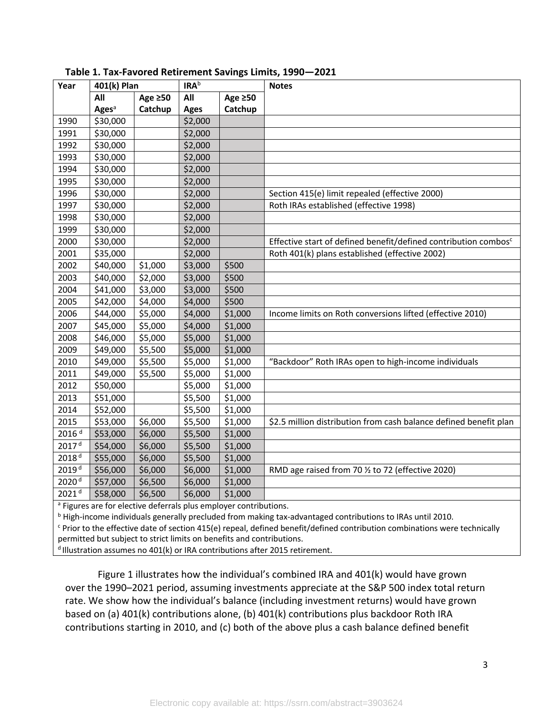| Year              | 401(k) Plan              |               | <b>IRA</b> b        |         | <b>Notes</b>                                                                |
|-------------------|--------------------------|---------------|---------------------|---------|-----------------------------------------------------------------------------|
|                   | All                      | Age $\geq 50$ | All                 | Age ≥50 |                                                                             |
|                   | <b>Ages</b> <sup>a</sup> | Catchup       | <b>Ages</b>         | Catchup |                                                                             |
| 1990              | \$30,000                 |               | \$2,000             |         |                                                                             |
| 1991              | \$30,000                 |               | \$2,000             |         |                                                                             |
| 1992              | \$30,000                 |               | \$2,000             |         |                                                                             |
| 1993              | \$30,000                 |               | \$2,000             |         |                                                                             |
| 1994              | \$30,000                 |               | \$2,000             |         |                                                                             |
| 1995              | \$30,000                 |               | \$2,000             |         |                                                                             |
| 1996              | \$30,000                 |               | \$2,000             |         | Section 415(e) limit repealed (effective 2000)                              |
| 1997              | \$30,000                 |               | \$2,000             |         | Roth IRAs established (effective 1998)                                      |
| 1998              | \$30,000                 |               | \$2,000             |         |                                                                             |
| 1999              | \$30,000                 |               | $\overline{$}2,000$ |         |                                                                             |
| 2000              | \$30,000                 |               | \$2,000             |         | Effective start of defined benefit/defined contribution combos <sup>c</sup> |
| 2001              | \$35,000                 |               | \$2,000             |         | Roth 401(k) plans established (effective 2002)                              |
| 2002              | \$40,000                 | \$1,000       | \$3,000             | \$500   |                                                                             |
| 2003              | \$40,000                 | \$2,000       | \$3,000             | \$500   |                                                                             |
| 2004              | \$41,000                 | \$3,000       | \$3,000             | \$500   |                                                                             |
| 2005              | \$42,000                 | \$4,000       | \$4,000             | \$500   |                                                                             |
| 2006              | \$44,000                 | \$5,000       | \$4,000             | \$1,000 | Income limits on Roth conversions lifted (effective 2010)                   |
| 2007              | \$45,000                 | \$5,000       | \$4,000             | \$1,000 |                                                                             |
| 2008              | \$46,000                 | \$5,000       | \$5,000             | \$1,000 |                                                                             |
| 2009              | \$49,000                 | \$5,500       | \$5,000             | \$1,000 |                                                                             |
| 2010              | \$49,000                 | \$5,500       | \$5,000             | \$1,000 | "Backdoor" Roth IRAs open to high-income individuals                        |
| 2011              | \$49,000                 | \$5,500       | \$5,000             | \$1,000 |                                                                             |
| 2012              | \$50,000                 |               | \$5,000             | \$1,000 |                                                                             |
| 2013              | \$51,000                 |               | \$5,500             | \$1,000 |                                                                             |
| 2014              | \$52,000                 |               | \$5,500             | \$1,000 |                                                                             |
| 2015              | \$53,000                 | \$6,000       | \$5,500             | \$1,000 | \$2.5 million distribution from cash balance defined benefit plan           |
| 2016 <sup>d</sup> | \$53,000                 | \$6,000       | \$5,500             | \$1,000 |                                                                             |
| 2017 <sup>d</sup> | \$54,000                 | \$6,000       | \$5,500             | \$1,000 |                                                                             |
| 2018 <sup>d</sup> | \$55,000                 | \$6,000       | \$5,500             | \$1,000 |                                                                             |
| 2019 <sup>d</sup> | \$56,000                 | \$6,000       | \$6,000             | \$1,000 | RMD age raised from 70 1/2 to 72 (effective 2020)                           |
| 2020 <sup>d</sup> | \$57,000                 | \$6,500       | \$6,000             | \$1,000 |                                                                             |
| 2021 <sup>d</sup> | \$58,000                 | \$6,500       | \$6,000             | \$1,000 |                                                                             |

**Table 1. Tax-Favored Retirement Savings Limits, 1990—2021** 

<sup>a</sup> Figures are for elective deferrals plus employer contributions.

<sup>b</sup> High-income individuals generally precluded from making tax-advantaged contributions to IRAs until 2010.

 $c$  Prior to the effective date of section 415(e) repeal, defined benefit/defined contribution combinations were technically permitted but subject to strict limits on benefits and contributions.

 $d$  Illustration assumes no 401(k) or IRA contributions after 2015 retirement.

Figure 1 illustrates how the individual's combined IRA and 401(k) would have grown over the 1990–2021 period, assuming investments appreciate at the S&P 500 index total return rate. We show how the individual's balance (including investment returns) would have grown based on (a) 401(k) contributions alone, (b) 401(k) contributions plus backdoor Roth IRA contributions starting in 2010, and (c) both of the above plus a cash balance defined benefit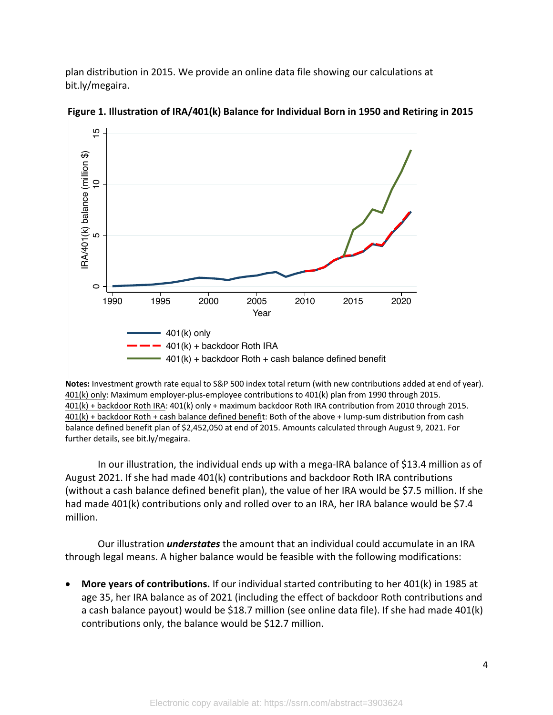plan distribution in 2015. We provide an online data file showing our calculations at bit.ly/megaira.



**Figure 1. Illustration of IRA/401(k) Balance for Individual Born in 1950 and Retiring in 2015**

**Notes:** Investment growth rate equal to S&P 500 index total return (with new contributions added at end of year). 401(k) only: Maximum employer-plus-employee contributions to 401(k) plan from 1990 through 2015. 401(k) + backdoor Roth IRA: 401(k) only + maximum backdoor Roth IRA contribution from 2010 through 2015. 401(k) + backdoor Roth + cash balance defined benefit: Both of the above + lump-sum distribution from cash balance defined benefit plan of \$2,452,050 at end of 2015. Amounts calculated through August 9, 2021. For further details, see bit.ly/megaira.

In our illustration, the individual ends up with a mega-IRA balance of \$13.4 million as of August 2021. If she had made 401(k) contributions and backdoor Roth IRA contributions (without a cash balance defined benefit plan), the value of her IRA would be \$7.5 million. If she had made 401(k) contributions only and rolled over to an IRA, her IRA balance would be \$7.4 million.

Our illustration *understates* the amount that an individual could accumulate in an IRA through legal means. A higher balance would be feasible with the following modifications:

• **More years of contributions.** If our individual started contributing to her 401(k) in 1985 at age 35, her IRA balance as of 2021 (including the effect of backdoor Roth contributions and a cash balance payout) would be \$18.7 million (see online data file). If she had made 401(k) contributions only, the balance would be \$12.7 million.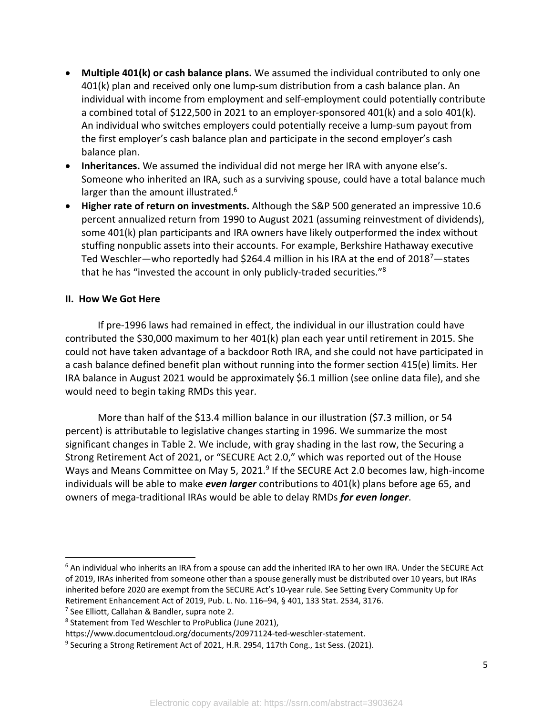- **Multiple 401(k) or cash balance plans.** We assumed the individual contributed to only one 401(k) plan and received only one lump-sum distribution from a cash balance plan. An individual with income from employment and self-employment could potentially contribute a combined total of \$122,500 in 2021 to an employer-sponsored 401(k) and a solo 401(k). An individual who switches employers could potentially receive a lump-sum payout from the first employer's cash balance plan and participate in the second employer's cash balance plan.
- **Inheritances.** We assumed the individual did not merge her IRA with anyone else's. Someone who inherited an IRA, such as a surviving spouse, could have a total balance much larger than the amount illustrated.<sup>6</sup>
- **Higher rate of return on investments.** Although the S&P 500 generated an impressive 10.6 percent annualized return from 1990 to August 2021 (assuming reinvestment of dividends), some 401(k) plan participants and IRA owners have likely outperformed the index without stuffing nonpublic assets into their accounts. For example, Berkshire Hathaway executive Ted Weschler—who reportedly had \$264.4 million in his IRA at the end of 2018<sup>7</sup>—states that he has "invested the account in only publicly-traded securities."8

### **II. How We Got Here**

If pre-1996 laws had remained in effect, the individual in our illustration could have contributed the \$30,000 maximum to her 401(k) plan each year until retirement in 2015. She could not have taken advantage of a backdoor Roth IRA, and she could not have participated in a cash balance defined benefit plan without running into the former section 415(e) limits. Her IRA balance in August 2021 would be approximately \$6.1 million (see online data file), and she would need to begin taking RMDs this year.

More than half of the \$13.4 million balance in our illustration (\$7.3 million, or 54 percent) is attributable to legislative changes starting in 1996. We summarize the most significant changes in Table 2. We include, with gray shading in the last row, the Securing a Strong Retirement Act of 2021, or "SECURE Act 2.0," which was reported out of the House Ways and Means Committee on May 5, 2021.<sup>9</sup> If the SECURE Act 2.0 becomes law, high-income individuals will be able to make *even larger* contributions to 401(k) plans before age 65, and owners of mega-traditional IRAs would be able to delay RMDs *for even longer*.

<sup>7</sup> See Elliott, Callahan & Bandler, supra note 2.

 $6$  An individual who inherits an IRA from a spouse can add the inherited IRA to her own IRA. Under the SECURE Act of 2019, IRAs inherited from someone other than a spouse generally must be distributed over 10 years, but IRAs inherited before 2020 are exempt from the SECURE Act's 10-year rule. See Setting Every Community Up for Retirement Enhancement Act of 2019, Pub. L. No. 116–94, § 401, 133 Stat. 2534, 3176.

<sup>8</sup> Statement from Ted Weschler to ProPublica (June 2021),

https://www.documentcloud.org/documents/20971124-ted-weschler-statement.

<sup>&</sup>lt;sup>9</sup> Securing a Strong Retirement Act of 2021, H.R. 2954, 117th Cong., 1st Sess. (2021).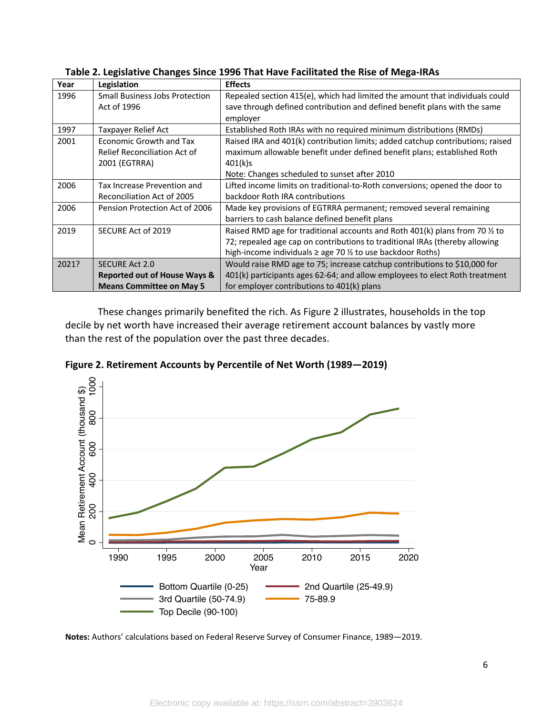| Year  | Legislation                             | <b>Effects</b>                                                                 |  |  |
|-------|-----------------------------------------|--------------------------------------------------------------------------------|--|--|
| 1996  | <b>Small Business Jobs Protection</b>   | Repealed section 415(e), which had limited the amount that individuals could   |  |  |
|       | Act of 1996                             | save through defined contribution and defined benefit plans with the same      |  |  |
|       |                                         | employer                                                                       |  |  |
| 1997  | Taxpayer Relief Act                     | Established Roth IRAs with no required minimum distributions (RMDs)            |  |  |
| 2001  | Economic Growth and Tax                 | Raised IRA and 401(k) contribution limits; added catchup contributions; raised |  |  |
|       | <b>Relief Reconciliation Act of</b>     | maximum allowable benefit under defined benefit plans; established Roth        |  |  |
|       | 2001 (EGTRRA)                           | 401(k)s                                                                        |  |  |
|       |                                         | Note: Changes scheduled to sunset after 2010                                   |  |  |
| 2006  | Tax Increase Prevention and             | Lifted income limits on traditional-to-Roth conversions; opened the door to    |  |  |
|       | Reconciliation Act of 2005              | backdoor Roth IRA contributions                                                |  |  |
| 2006  | Pension Protection Act of 2006          | Made key provisions of EGTRRA permanent; removed several remaining             |  |  |
|       |                                         | barriers to cash balance defined benefit plans                                 |  |  |
| 2019  | SECURE Act of 2019                      | Raised RMD age for traditional accounts and Roth 401(k) plans from 70 % to     |  |  |
|       |                                         | 72; repealed age cap on contributions to traditional IRAs (thereby allowing    |  |  |
|       |                                         | high-income individuals ≥ age 70 1/2 to use backdoor Roths)                    |  |  |
| 2021? | <b>SECURE Act 2.0</b>                   | Would raise RMD age to 75; increase catchup contributions to \$10,000 for      |  |  |
|       | <b>Reported out of House Ways &amp;</b> | 401(k) participants ages 62-64; and allow employees to elect Roth treatment    |  |  |
|       | <b>Means Committee on May 5</b>         | for employer contributions to 401(k) plans                                     |  |  |

**Table 2. Legislative Changes Since 1996 That Have Facilitated the Rise of Mega-IRAs**

These changes primarily benefited the rich. As Figure 2 illustrates, households in the top decile by net worth have increased their average retirement account balances by vastly more than the rest of the population over the past three decades.

**Figure 2. Retirement Accounts by Percentile of Net Worth (1989—2019)**



**Notes:** Authors' calculations based on Federal Reserve Survey of Consumer Finance, 1989—2019.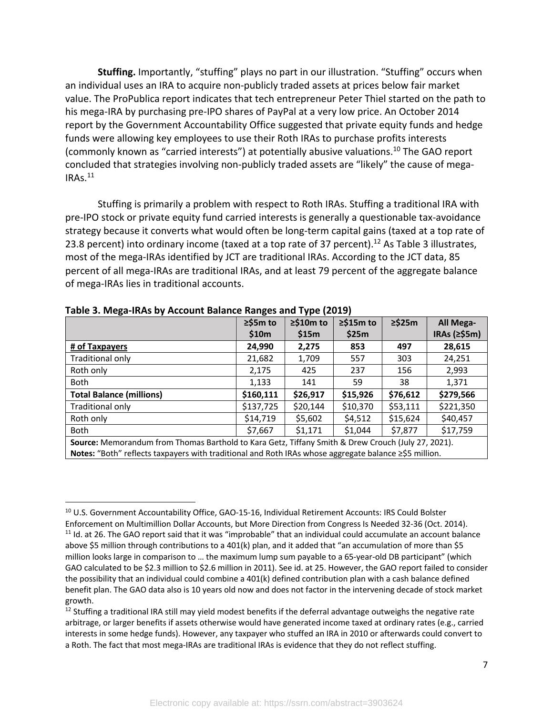**Stuffing.** Importantly, "stuffing" plays no part in our illustration. "Stuffing" occurs when an individual uses an IRA to acquire non-publicly traded assets at prices below fair market value. The ProPublica report indicates that tech entrepreneur Peter Thiel started on the path to his mega-IRA by purchasing pre-IPO shares of PayPal at a very low price. An October 2014 report by the Government Accountability Office suggested that private equity funds and hedge funds were allowing key employees to use their Roth IRAs to purchase profits interests (commonly known as "carried interests") at potentially abusive valuations. <sup>10</sup> The GAO report concluded that strategies involving non-publicly traded assets are "likely" the cause of mega- $IRAs.<sup>11</sup>$ 

Stuffing is primarily a problem with respect to Roth IRAs. Stuffing a traditional IRA with pre-IPO stock or private equity fund carried interests is generally a questionable tax-avoidance strategy because it converts what would often be long-term capital gains (taxed at a top rate of 23.8 percent) into ordinary income (taxed at a top rate of 37 percent).<sup>12</sup> As Table 3 illustrates, most of the mega-IRAs identified by JCT are traditional IRAs. According to the JCT data, 85 percent of all mega-IRAs are traditional IRAs, and at least 79 percent of the aggregate balance of mega-IRAs lies in traditional accounts.

|                                                                                                       | $\ge$ \$5m to | $\geq$ \$10m to | $\geq$ \$15m to | $\ge$ \$25m | All Mega-          |  |  |
|-------------------------------------------------------------------------------------------------------|---------------|-----------------|-----------------|-------------|--------------------|--|--|
|                                                                                                       | \$10m         | \$15m           | \$25m           |             | IRAs ( $\ge$ \$5m) |  |  |
| # of Taxpayers                                                                                        | 24,990        | 2,275           | 853             | 497         | 28,615             |  |  |
| Traditional only                                                                                      | 21,682        | 1,709           | 557             | 303         | 24,251             |  |  |
| Roth only                                                                                             | 2,175         | 425             | 237             | 156         | 2,993              |  |  |
| Both                                                                                                  | 1,133         | 141             | 59              | 38          | 1,371              |  |  |
| <b>Total Balance (millions)</b>                                                                       | \$160,111     | \$26,917        | \$15,926        | \$76,612    | \$279,566          |  |  |
| Traditional only                                                                                      | \$137,725     | \$20,144        | \$10,370        | \$53,111    | \$221,350          |  |  |
| Roth only                                                                                             | \$14,719      | \$5,602         | \$4,512         | \$15,624    | \$40,457           |  |  |
| Both                                                                                                  | \$7,667       | \$1,171         | \$1,044         | \$7,877     | \$17,759           |  |  |
| Source: Memorandum from Thomas Barthold to Kara Getz, Tiffany Smith & Drew Crouch (July 27, 2021).    |               |                 |                 |             |                    |  |  |
| Notes: "Both" reflects taxpayers with traditional and Roth IRAs whose aggregate balance ≥\$5 million. |               |                 |                 |             |                    |  |  |

**Table 3. Mega-IRAs by Account Balance Ranges and Type (2019)**

<sup>&</sup>lt;sup>10</sup> U.S. Government Accountability Office, GAO-15-16, Individual Retirement Accounts: IRS Could Bolster Enforcement on Multimillion Dollar Accounts, but More Direction from Congress Is Needed 32-36 (Oct. 2014).  $11$  Id. at 26. The GAO report said that it was "improbable" that an individual could accumulate an account balance above \$5 million through contributions to a 401(k) plan, and it added that "an accumulation of more than \$5 million looks large in comparison to … the maximum lump sum payable to a 65-year-old DB participant" (which GAO calculated to be \$2.3 million to \$2.6 million in 2011). See id. at 25. However, the GAO report failed to consider the possibility that an individual could combine a 401(k) defined contribution plan with a cash balance defined benefit plan. The GAO data also is 10 years old now and does not factor in the intervening decade of stock market growth.

 $12$  Stuffing a traditional IRA still may yield modest benefits if the deferral advantage outweighs the negative rate arbitrage, or larger benefits if assets otherwise would have generated income taxed at ordinary rates (e.g., carried interests in some hedge funds). However, any taxpayer who stuffed an IRA in 2010 or afterwards could convert to a Roth. The fact that most mega-IRAs are traditional IRAs is evidence that they do not reflect stuffing.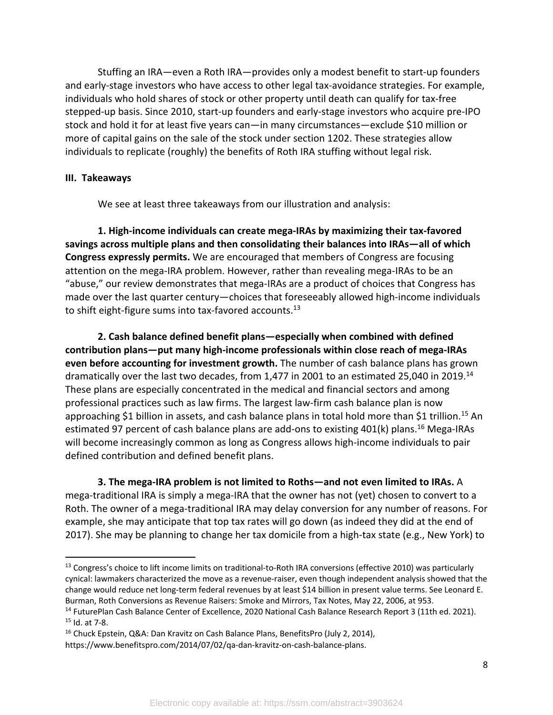Stuffing an IRA—even a Roth IRA—provides only a modest benefit to start-up founders and early-stage investors who have access to other legal tax-avoidance strategies. For example, individuals who hold shares of stock or other property until death can qualify for tax-free stepped-up basis. Since 2010, start-up founders and early-stage investors who acquire pre-IPO stock and hold it for at least five years can—in many circumstances—exclude \$10 million or more of capital gains on the sale of the stock under section 1202. These strategies allow individuals to replicate (roughly) the benefits of Roth IRA stuffing without legal risk.

#### **III. Takeaways**

We see at least three takeaways from our illustration and analysis:

**1. High-income individuals can create mega-IRAs by maximizing their tax-favored savings across multiple plans and then consolidating their balances into IRAs—all of which Congress expressly permits.** We are encouraged that members of Congress are focusing attention on the mega-IRA problem. However, rather than revealing mega-IRAs to be an "abuse," our review demonstrates that mega-IRAs are a product of choices that Congress has made over the last quarter century—choices that foreseeably allowed high-income individuals to shift eight-figure sums into tax-favored accounts.<sup>13</sup>

**2. Cash balance defined benefit plans—especially when combined with defined contribution plans—put many high-income professionals within close reach of mega-IRAs even before accounting for investment growth.** The number of cash balance plans has grown dramatically over the last two decades, from 1,477 in 2001 to an estimated 25,040 in 2019.<sup>14</sup> These plans are especially concentrated in the medical and financial sectors and among professional practices such as law firms. The largest law-firm cash balance plan is now approaching \$1 billion in assets, and cash balance plans in total hold more than \$1 trillion.<sup>15</sup> An estimated 97 percent of cash balance plans are add-ons to existing 401(k) plans.<sup>16</sup> Mega-IRAs will become increasingly common as long as Congress allows high-income individuals to pair defined contribution and defined benefit plans.

**3. The mega-IRA problem is not limited to Roths—and not even limited to IRAs.** A mega-traditional IRA is simply a mega-IRA that the owner has not (yet) chosen to convert to a Roth. The owner of a mega-traditional IRA may delay conversion for any number of reasons. For example, she may anticipate that top tax rates will go down (as indeed they did at the end of 2017). She may be planning to change her tax domicile from a high-tax state (e.g., New York) to

 $<sup>13</sup>$  Congress's choice to lift income limits on traditional-to-Roth IRA conversions (effective 2010) was particularly</sup> cynical: lawmakers characterized the move as a revenue-raiser, even though independent analysis showed that the change would reduce net long-term federal revenues by at least \$14 billion in present value terms. See Leonard E. Burman, Roth Conversions as Revenue Raisers: Smoke and Mirrors, Tax Notes, May 22, 2006, at 953.

<sup>&</sup>lt;sup>14</sup> FuturePlan Cash Balance Center of Excellence, 2020 National Cash Balance Research Report 3 (11th ed. 2021). <sup>15</sup> Id. at 7-8.

<sup>16</sup> Chuck Epstein, Q&A: Dan Kravitz on Cash Balance Plans, BenefitsPro (July 2, 2014),

https://www.benefitspro.com/2014/07/02/qa-dan-kravitz-on-cash-balance-plans.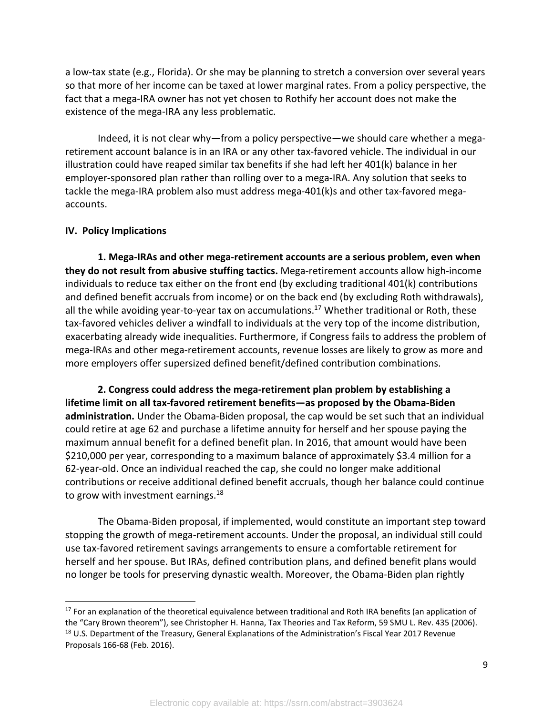a low-tax state (e.g., Florida). Or she may be planning to stretch a conversion over several years so that more of her income can be taxed at lower marginal rates. From a policy perspective, the fact that a mega-IRA owner has not yet chosen to Rothify her account does not make the existence of the mega-IRA any less problematic.

Indeed, it is not clear why—from a policy perspective—we should care whether a megaretirement account balance is in an IRA or any other tax-favored vehicle. The individual in our illustration could have reaped similar tax benefits if she had left her 401(k) balance in her employer-sponsored plan rather than rolling over to a mega-IRA. Any solution that seeks to tackle the mega-IRA problem also must address mega-401(k)s and other tax-favored megaaccounts.

#### **IV. Policy Implications**

**1. Mega-IRAs and other mega-retirement accounts are a serious problem, even when they do not result from abusive stuffing tactics.** Mega-retirement accounts allow high-income individuals to reduce tax either on the front end (by excluding traditional 401(k) contributions and defined benefit accruals from income) or on the back end (by excluding Roth withdrawals), all the while avoiding year-to-year tax on accumulations.<sup>17</sup> Whether traditional or Roth, these tax-favored vehicles deliver a windfall to individuals at the very top of the income distribution, exacerbating already wide inequalities. Furthermore, if Congress fails to address the problem of mega-IRAs and other mega-retirement accounts, revenue losses are likely to grow as more and more employers offer supersized defined benefit/defined contribution combinations.

**2. Congress could address the mega-retirement plan problem by establishing a lifetime limit on all tax-favored retirement benefits—as proposed by the Obama-Biden administration.** Under the Obama-Biden proposal, the cap would be set such that an individual could retire at age 62 and purchase a lifetime annuity for herself and her spouse paying the maximum annual benefit for a defined benefit plan. In 2016, that amount would have been \$210,000 per year, corresponding to a maximum balance of approximately \$3.4 million for a 62-year-old. Once an individual reached the cap, she could no longer make additional contributions or receive additional defined benefit accruals, though her balance could continue to grow with investment earnings.<sup>18</sup>

The Obama-Biden proposal, if implemented, would constitute an important step toward stopping the growth of mega-retirement accounts. Under the proposal, an individual still could use tax-favored retirement savings arrangements to ensure a comfortable retirement for herself and her spouse. But IRAs, defined contribution plans, and defined benefit plans would no longer be tools for preserving dynastic wealth. Moreover, the Obama-Biden plan rightly

 $17$  For an explanation of the theoretical equivalence between traditional and Roth IRA benefits (an application of the "Cary Brown theorem"), see Christopher H. Hanna, Tax Theories and Tax Reform, 59 SMU L. Rev. 435 (2006). <sup>18</sup> U.S. Department of the Treasury, General Explanations of the Administration's Fiscal Year 2017 Revenue Proposals 166-68 (Feb. 2016).